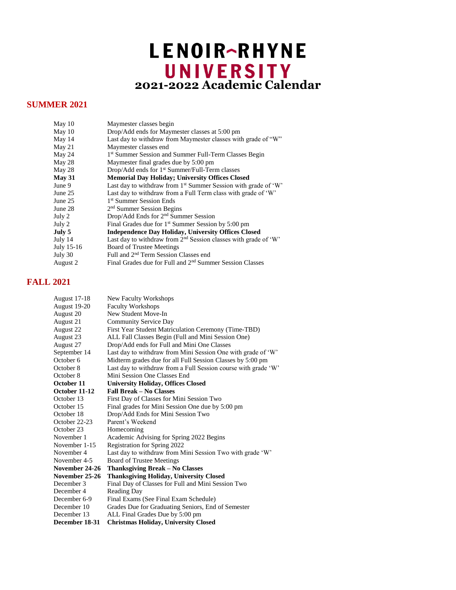## LENOIR-RHYNE **2021-2022 Academic Calendar**

## **SUMMER 2021**

| May 10        | Maymester classes begin                                                     |
|---------------|-----------------------------------------------------------------------------|
| May 10        | Drop/Add ends for Maymester classes at 5:00 pm                              |
| May 14        | Last day to withdraw from Maymester classes with grade of "W"               |
| May 21        | Maymester classes end                                                       |
| May 24        | 1st Summer Session and Summer Full-Term Classes Begin                       |
| May 28        | Maymester final grades due by 5:00 pm                                       |
| May 28        | Drop/Add ends for 1 <sup>st</sup> Summer/Full-Term classes                  |
| <b>May 31</b> | <b>Memorial Day Holiday; University Offices Closed</b>                      |
| June 9        | Last day to withdraw from 1 <sup>st</sup> Summer Session with grade of 'W'  |
| June 25       | Last day to withdraw from a Full Term class with grade of 'W'               |
| June 25       | 1 <sup>st</sup> Summer Session Ends                                         |
| June 28       | 2 <sup>nd</sup> Summer Session Begins                                       |
| July 2        | Drop/Add Ends for 2 <sup>nd</sup> Summer Session                            |
| July 2        | Final Grades due for 1 <sup>st</sup> Summer Session by 5:00 pm              |
| July 5        | <b>Independence Day Holiday, University Offices Closed</b>                  |
| July 14       | Last day to withdraw from 2 <sup>nd</sup> Session classes with grade of 'W' |
| July 15-16    | <b>Board of Trustee Meetings</b>                                            |
| July 30       | Full and 2 <sup>nd</sup> Term Session Classes end                           |
| August 2      | Final Grades due for Full and 2 <sup>nd</sup> Summer Session Classes        |
|               |                                                                             |

## **FALL 2021**

| <b>August 17-18</b> | New Faculty Workshops                                          |
|---------------------|----------------------------------------------------------------|
| August 19-20        | <b>Faculty Workshops</b>                                       |
| August 20           | New Student Move-In                                            |
| August 21           | <b>Community Service Day</b>                                   |
| August 22           | First Year Student Matriculation Ceremony (Time-TBD)           |
| August 23           | ALL Fall Classes Begin (Full and Mini Session One)             |
| August 27           | Drop/Add ends for Full and Mini One Classes                    |
| September 14        | Last day to withdraw from Mini Session One with grade of 'W'   |
| October 6           | Midterm grades due for all Full Session Classes by 5:00 pm     |
| October 8           | Last day to withdraw from a Full Session course with grade 'W' |
| October 8           | Mini Session One Classes End                                   |
| October 11          | <b>University Holiday, Offices Closed</b>                      |
| October 11-12       | <b>Fall Break - No Classes</b>                                 |
| October 13          | First Day of Classes for Mini Session Two                      |
| October 15          | Final grades for Mini Session One due by 5:00 pm               |
| October 18          | Drop/Add Ends for Mini Session Two                             |
| October 22-23       | Parent's Weekend                                               |
| October 23          | Homecoming                                                     |
| November 1          | Academic Advising for Spring 2022 Begins                       |
| November 1-15       | Registration for Spring 2022                                   |
| November 4          | Last day to withdraw from Mini Session Two with grade 'W'      |
| November 4-5        | <b>Board of Trustee Meetings</b>                               |
| November 24-26      | <b>Thanksgiving Break – No Classes</b>                         |
| November 25-26      | <b>Thanksgiving Holiday, University Closed</b>                 |
| December 3          | Final Day of Classes for Full and Mini Session Two             |
| December 4          | <b>Reading Day</b>                                             |
| December 6-9        | Final Exams (See Final Exam Schedule)                          |
| December 10         | Grades Due for Graduating Seniors, End of Semester             |
| December 13         | ALL Final Grades Due by 5:00 pm                                |
| December 18-31      | <b>Christmas Holiday, University Closed</b>                    |